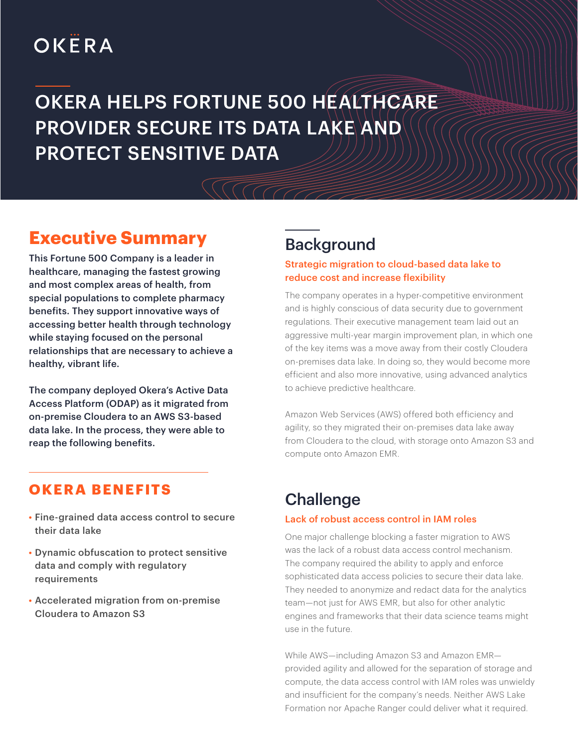# OKËRA

# OKERA HELPS FORTUNE 500 HEALTHCARE PROVIDER SECURE ITS DATA LAKE AND PROTECT SENSITIVE DATA

## **Executive Summary**

This Fortune 500 Company is a leader in healthcare, managing the fastest growing and most complex areas of health, from special populations to complete pharmacy benefits. They support innovative ways of accessing better health through technology while staying focused on the personal relationships that are necessary to achieve a healthy, vibrant life.

The company deployed Okera's Active Data Access Platform (ODAP) as it migrated from on-premise Cloudera to an AWS S3-based data lake. In the process, they were able to reap the following benefits.

### **OKERA BENEFITS**

- Fine-grained data access control to secure their data lake
- Dynamic obfuscation to protect sensitive data and comply with regulatory requirements
- Accelerated migration from on-premise Cloudera to Amazon S3

# Background

#### Strategic migration to cloud-based data lake to reduce cost and increase flexibility

The company operates in a hyper-competitive environment and is highly conscious of data security due to government regulations. Their executive management team laid out an aggressive multi-year margin improvement plan, in which one of the key items was a move away from their costly Cloudera on-premises data lake. In doing so, they would become more efficient and also more innovative, using advanced analytics to achieve predictive healthcare.

Amazon Web Services (AWS) offered both efficiency and agility, so they migrated their on-premises data lake away from Cloudera to the cloud, with storage onto Amazon S3 and compute onto Amazon EMR.

## **Challenge**

#### Lack of robust access control in IAM roles

One major challenge blocking a faster migration to AWS was the lack of a robust data access control mechanism. The company required the ability to apply and enforce sophisticated data access policies to secure their data lake. They needed to anonymize and redact data for the analytics team—not just for AWS EMR, but also for other analytic engines and frameworks that their data science teams might use in the future.

While AWS—including Amazon S3 and Amazon EMR provided agility and allowed for the separation of storage and compute, the data access control with IAM roles was unwieldy and insufficient for the company's needs. Neither AWS Lake Formation nor Apache Ranger could deliver what it required.